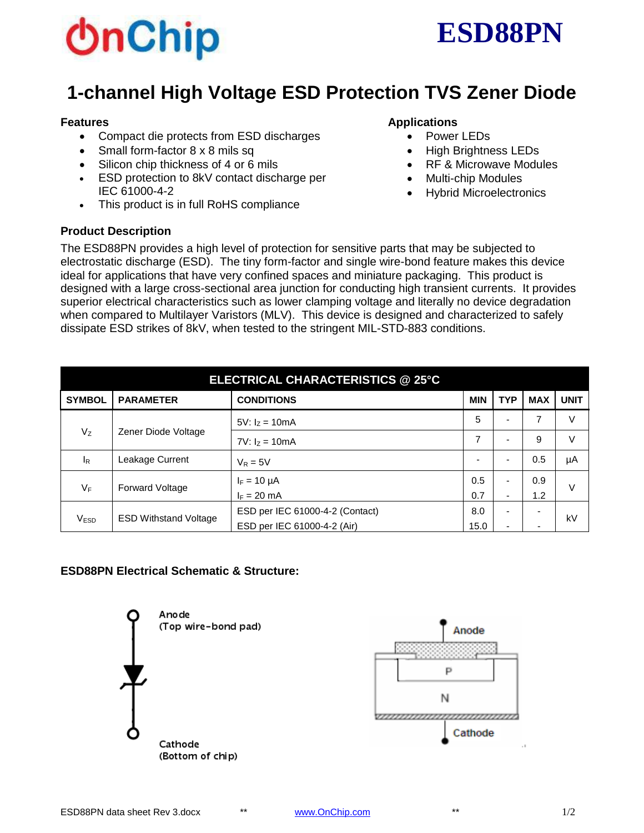



# **1-channel High Voltage ESD Protection TVS Zener Diode**

#### **Features**

- Compact die protects from ESD discharges
- Small form-factor 8 x 8 mils sq
- Silicon chip thickness of 4 or 6 mils
- **ESD protection to 8kV contact discharge per** IEC 61000-4-2
- This product is in full RoHS compliance

### **Product Description**

#### **Applications**

- Power LEDs
- High Brightness LEDs
- RF & Microwave Modules
- Multi-chip Modules
- Hybrid Microelectronics

The ESD88PN provides a high level of protection for sensitive parts that may be subjected to electrostatic discharge (ESD). The tiny form-factor and single wire-bond feature makes this device ideal for applications that have very confined spaces and miniature packaging. This product is designed with a large cross-sectional area junction for conducting high transient currents. It provides superior electrical characteristics such as lower clamping voltage and literally no device degradation when compared to Multilayer Varistors (MLV). This device is designed and characterized to safely dissipate ESD strikes of 8kV, when tested to the stringent MIL-STD-883 conditions.

| ELECTRICAL CHARACTERISTICS @ 25°C |                              |                                 |            |            |                          |             |  |  |  |  |
|-----------------------------------|------------------------------|---------------------------------|------------|------------|--------------------------|-------------|--|--|--|--|
| <b>SYMBOL</b>                     | <b>PARAMETER</b>             | <b>CONDITIONS</b>               | <b>MIN</b> | <b>TYP</b> | <b>MAX</b>               | <b>UNIT</b> |  |  |  |  |
| $V_{Z}$                           | Zener Diode Voltage          | 5V: $I_Z = 10mA$                |            |            | 7                        | V           |  |  |  |  |
|                                   |                              | 7V: $I_Z = 10mA$                |            | -          | 9                        | V           |  |  |  |  |
| IR                                | Leakage Current              | $V_R = 5V$                      | -          | -          | 0.5                      | μA          |  |  |  |  |
| $V_F$                             | <b>Forward Voltage</b>       | $I_F = 10 \mu A$                | 0.5        |            | 0.9                      | V           |  |  |  |  |
|                                   |                              | $I_F = 20$ mA                   |            | -          | 1.2                      |             |  |  |  |  |
| V <sub>ESD</sub>                  | <b>ESD Withstand Voltage</b> | ESD per IEC 61000-4-2 (Contact) | 8.0        | ۰          | $\overline{\phantom{0}}$ | kV          |  |  |  |  |
|                                   |                              | ESD per IEC 61000-4-2 (Air)     | 15.0       | -          | $\overline{\phantom{0}}$ |             |  |  |  |  |

# **ESD88PN Electrical Schematic & Structure:**